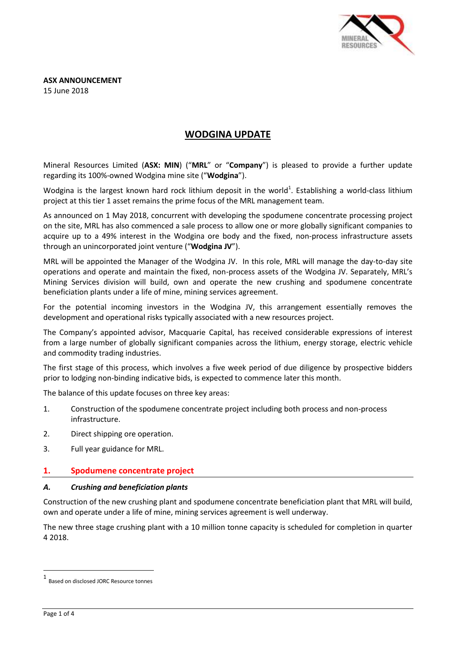

**ASX ANNOUNCEMENT** 15 June 2018

# **WODGINA UPDATE**

Mineral Resources Limited (**ASX: MIN**) ("**MRL**" or "**Company**") is pleased to provide a further update regarding its 100%-owned Wodgina mine site ("**Wodgina**").

Wodgina is the largest known hard rock lithium deposit in the world<sup>1</sup>. Establishing a world-class lithium project at this tier 1 asset remains the prime focus of the MRL management team.

As announced on 1 May 2018, concurrent with developing the spodumene concentrate processing project on the site, MRL has also commenced a sale process to allow one or more globally significant companies to acquire up to a 49% interest in the Wodgina ore body and the fixed, non-process infrastructure assets through an unincorporated joint venture ("**Wodgina JV**").

MRL will be appointed the Manager of the Wodgina JV. In this role, MRL will manage the day-to-day site operations and operate and maintain the fixed, non-process assets of the Wodgina JV. Separately, MRL's Mining Services division will build, own and operate the new crushing and spodumene concentrate beneficiation plants under a life of mine, mining services agreement.

For the potential incoming investors in the Wodgina JV, this arrangement essentially removes the development and operational risks typically associated with a new resources project.

The Company's appointed advisor, Macquarie Capital, has received considerable expressions of interest from a large number of globally significant companies across the lithium, energy storage, electric vehicle and commodity trading industries.

The first stage of this process, which involves a five week period of due diligence by prospective bidders prior to lodging non-binding indicative bids, is expected to commence later this month.

The balance of this update focuses on three key areas:

- 1. Construction of the spodumene concentrate project including both process and non-process infrastructure.
- 2. Direct shipping ore operation.
- 3. Full year guidance for MRL.

## **1. Spodumene concentrate project**

#### *A. Crushing and beneficiation plants*

Construction of the new crushing plant and spodumene concentrate beneficiation plant that MRL will build, own and operate under a life of mine, mining services agreement is well underway.

The new three stage crushing plant with a 10 million tonne capacity is scheduled for completion in quarter 4 2018.

1

<sup>1</sup> Based on disclosed JORC Resource tonnes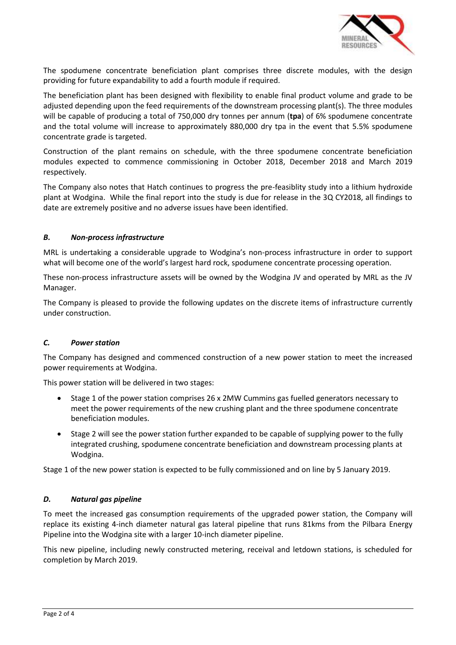

The spodumene concentrate beneficiation plant comprises three discrete modules, with the design providing for future expandability to add a fourth module if required.

The beneficiation plant has been designed with flexibility to enable final product volume and grade to be adjusted depending upon the feed requirements of the downstream processing plant(s). The three modules will be capable of producing a total of 750,000 dry tonnes per annum (**tpa**) of 6% spodumene concentrate and the total volume will increase to approximately 880,000 dry tpa in the event that 5.5% spodumene concentrate grade is targeted.

Construction of the plant remains on schedule, with the three spodumene concentrate beneficiation modules expected to commence commissioning in October 2018, December 2018 and March 2019 respectively.

The Company also notes that Hatch continues to progress the pre-feasiblity study into a lithium hydroxide plant at Wodgina. While the final report into the study is due for release in the 3Q CY2018, all findings to date are extremely positive and no adverse issues have been identified.

## *B. Non-process infrastructure*

MRL is undertaking a considerable upgrade to Wodgina's non-process infrastructure in order to support what will become one of the world's largest hard rock, spodumene concentrate processing operation.

These non-process infrastructure assets will be owned by the Wodgina JV and operated by MRL as the JV Manager.

The Company is pleased to provide the following updates on the discrete items of infrastructure currently under construction.

#### *C. Power station*

The Company has designed and commenced construction of a new power station to meet the increased power requirements at Wodgina.

This power station will be delivered in two stages:

- Stage 1 of the power station comprises 26 x 2MW Cummins gas fuelled generators necessary to meet the power requirements of the new crushing plant and the three spodumene concentrate beneficiation modules.
- Stage 2 will see the power station further expanded to be capable of supplying power to the fully integrated crushing, spodumene concentrate beneficiation and downstream processing plants at Wodgina.

Stage 1 of the new power station is expected to be fully commissioned and on line by 5 January 2019.

## *D. Natural gas pipeline*

To meet the increased gas consumption requirements of the upgraded power station, the Company will replace its existing 4-inch diameter natural gas lateral pipeline that runs 81kms from the Pilbara Energy Pipeline into the Wodgina site with a larger 10-inch diameter pipeline.

This new pipeline, including newly constructed metering, receival and letdown stations, is scheduled for completion by March 2019.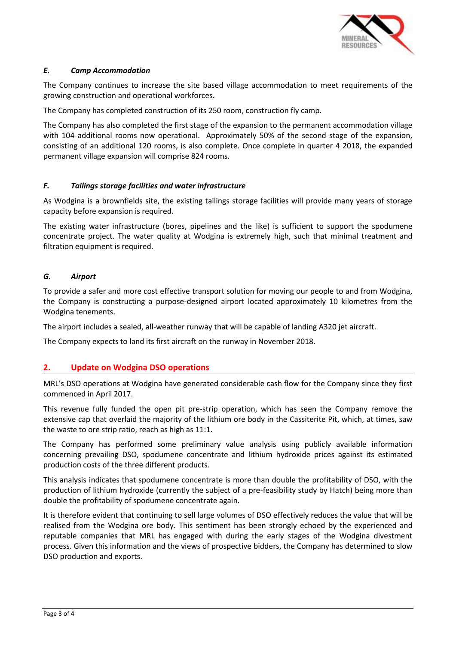

## *E. Camp Accommodation*

The Company continues to increase the site based village accommodation to meet requirements of the growing construction and operational workforces.

The Company has completed construction of its 250 room, construction fly camp.

The Company has also completed the first stage of the expansion to the permanent accommodation village with 104 additional rooms now operational. Approximately 50% of the second stage of the expansion, consisting of an additional 120 rooms, is also complete. Once complete in quarter 4 2018, the expanded permanent village expansion will comprise 824 rooms.

## *F. Tailings storage facilities and water infrastructure*

As Wodgina is a brownfields site, the existing tailings storage facilities will provide many years of storage capacity before expansion is required.

The existing water infrastructure (bores, pipelines and the like) is sufficient to support the spodumene concentrate project. The water quality at Wodgina is extremely high, such that minimal treatment and filtration equipment is required.

## *G. Airport*

To provide a safer and more cost effective transport solution for moving our people to and from Wodgina, the Company is constructing a purpose-designed airport located approximately 10 kilometres from the Wodgina tenements.

The airport includes a sealed, all-weather runway that will be capable of landing A320 jet aircraft.

The Company expects to land its first aircraft on the runway in November 2018.

## **2. Update on Wodgina DSO operations**

MRL's DSO operations at Wodgina have generated considerable cash flow for the Company since they first commenced in April 2017.

This revenue fully funded the open pit pre-strip operation, which has seen the Company remove the extensive cap that overlaid the majority of the lithium ore body in the Cassiterite Pit, which, at times, saw the waste to ore strip ratio, reach as high as 11:1.

The Company has performed some preliminary value analysis using publicly available information concerning prevailing DSO, spodumene concentrate and lithium hydroxide prices against its estimated production costs of the three different products.

This analysis indicates that spodumene concentrate is more than double the profitability of DSO, with the production of lithium hydroxide (currently the subject of a pre-feasibility study by Hatch) being more than double the profitability of spodumene concentrate again.

It is therefore evident that continuing to sell large volumes of DSO effectively reduces the value that will be realised from the Wodgina ore body. This sentiment has been strongly echoed by the experienced and reputable companies that MRL has engaged with during the early stages of the Wodgina divestment process. Given this information and the views of prospective bidders, the Company has determined to slow DSO production and exports.